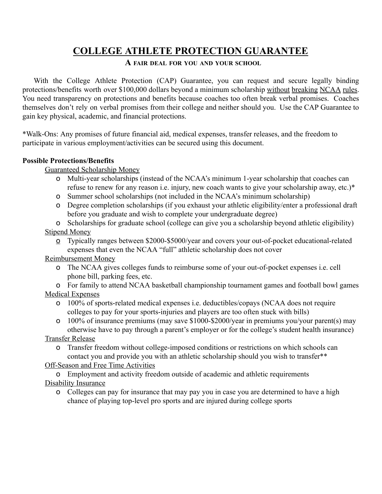# **COLLEGE ATHLETE PROTECTION GUARANTEE**

## **A FAIR DEAL FOR YOU AND YOUR SCHOOL**

With the College Athlete Protection (CAP) Guarantee, you can request and secure legally binding protections/benefits worth over \$100,000 dollars beyond a minimum scholarship without breaking NCAA rules. You need transparency on protections and benefits because coaches too often break verbal promises. Coaches themselves don't rely on verbal promises from their college and neither should you. Use the CAP Guarantee to gain key physical, academic, and financial protections.

\*Walk-Ons: Any promises of future financial aid, medical expenses, transfer releases, and the freedom to participate in various employment/activities can be secured using this document.

#### **Possible Protections/Benefits**

Guaranteed Scholarship Money

- o Multi-year scholarships (instead of the NCAA's minimum 1-year scholarship that coaches can refuse to renew for any reason *i.e.* injury, new coach wants to give your scholarship away, etc.)\*
- o Summer school scholarships (not included in the NCAA's minimum scholarship)
- o Degree completion scholarships (if you exhaust your athletic eligibility/enter a professional draft before you graduate and wish to complete your undergraduate degree)
- o Scholarships for graduate school (college can give you a scholarship beyond athletic eligibility) **Stipend Money** 
	- o Typically ranges between \$2000-\$5000/year and covers your out-of-pocket educational-related expenses that even the NCAA "full" athletic scholarship does not cover

Reimbursement Money

- o The NCAA gives colleges funds to reimburse some of your out-of-pocket expenses *i.e.* cell phone bill, parking fees, etc.
- o For family to attend NCAA basketball championship tournament games and football bowl games Medical Expenses
	- o 100% of sports-related medical expenses i.e. deductibles/copays (NCAA does not require colleges to pay for your sports-injuries and players are too often stuck with bills)
	- o 100% of insurance premiums (may save  $$1000-\$2000/\year$  in premiums you/your parent(s) may otherwise have to pay through a parent's employer or for the college's student health insurance)

Transfer Release

o Transfer freedom without college-imposed conditions or restrictions on which schools can contact you and provide you with an athletic scholarship should you wish to transfer\*\*

Off-Season and Free Time Activities

o Employment and activity freedom outside of academic and athletic requirements Disability Insurance

o Colleges can pay for insurance that may pay you in case you are determined to have a high chance of playing top-level pro sports and are injured during college sports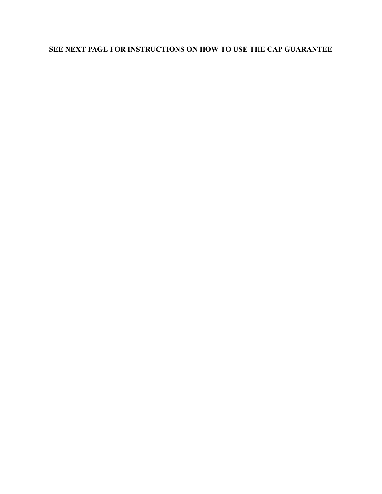# **SEE NEXT PAGE FOR INSTRUCTIONS ON HOW TO USE THE CAP GUARANTEE**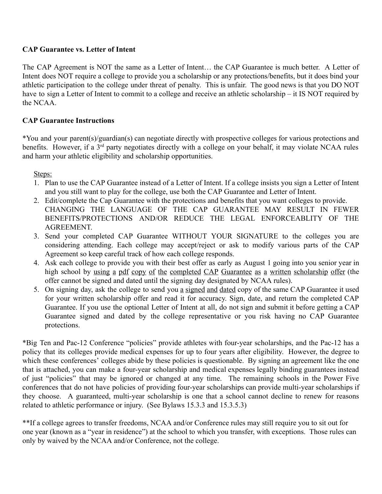#### **CAP Guarantee vs. Letter of Intent**

The CAP Agreement is NOT the same as a Letter of Intent… the CAP Guarantee is much better. A Letter of Intent does NOT require a college to provide you a scholarship or any protections/benefits, but it does bind your athletic participation to the college under threat of penalty. This is unfair. The good news is that you DO NOT have to sign a Letter of Intent to commit to a college and receive an athletic scholarship – it IS NOT required by the NCAA.

#### **CAP Guarantee Instructions**

\*You and your parent(s)/guardian(s) can negotiate directly with prospective colleges for various protections and benefits. However, if a 3<sup>rd</sup> party negotiates directly with a college on your behalf, it may violate NCAA rules and harm your athletic eligibility and scholarship opportunities.

Steps:

- 1. Plan to use the CAP Guarantee instead of a Letter of Intent. If a college insists you sign a Letter of Intent and you still want to play for the college, use both the CAP Guarantee and Letter of Intent.
- 2. Edit/complete the Cap Guarantee with the protections and benefits that you want colleges to provide. CHANGING THE LANGUAGE OF THE CAP GUARANTEE MAY RESULT IN FEWER BENEFITS/PROTECTIONS AND/OR REDUCE THE LEGAL ENFORCEABLITY OF THE AGREEMENT.
- 3. Send your completed CAP Guarantee WITHOUT YOUR SIGNATURE to the colleges you are considering attending. Each college may accept/reject or ask to modify various parts of the CAP Agreement so keep careful track of how each college responds.
- 4. Ask each college to provide you with their best offer as early as August 1 going into you senior year in high school by using a pdf copy of the completed CAP Guarantee as a written scholarship offer (the offer cannot be signed and dated until the signing day designated by NCAA rules).
- 5. On signing day, ask the college to send you a signed and dated copy of the same CAP Guarantee it used for your written scholarship offer and read it for accuracy. Sign, date, and return the completed CAP Guarantee. If you use the optional Letter of Intent at all, do not sign and submit it before getting a CAP Guarantee signed and dated by the college representative or you risk having no CAP Guarantee protections.

\*Big Ten and Pac12 Conference "policies" provide athletes with fouryear scholarships, and the Pac12 has a policy that its colleges provide medical expenses for up to four years after eligibility. However, the degree to which these conferences' colleges abide by these policies is questionable. By signing an agreement like the one that is attached, you can make a four-year scholarship and medical expenses legally binding guarantees instead of just "policies" that may be ignored or changed at any time. The remaining schools in the Power Five conferences that do not have policies of providing four-year scholarships can provide multi-year scholarships if they choose. A guaranteed, multi-year scholarship is one that a school cannot decline to renew for reasons related to athletic performance or injury. (See Bylaws 15.3.3 and 15.3.5.3)

\*\*If a college agrees to transfer freedoms, NCAA and/or Conference rules may still require you to sit out for one year (known as a "year in residence") at the school to which you transfer, with exceptions. Those rules can only by waived by the NCAA and/or Conference, not the college.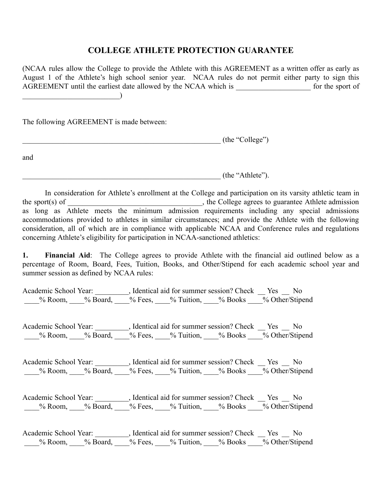## **COLLEGE ATHLETE PROTECTION GUARANTEE**

(NCAA rules allow the College to provide the Athlete with this AGREEMENT as a written offer as early as August 1 of the Athlete's high school senior year. NCAA rules do not permit either party to sign this AGREEMENT until the earliest date allowed by the NCAA which is for the sport of

The following AGREEMENT is made between:

 $\overline{\phantom{a}}$  , where  $\overline{\phantom{a}}$  , where  $\overline{\phantom{a}}$  , where  $\overline{\phantom{a}}$ 

 $(\text{the "College")}$ 

and

 $(\text{the "Athlete").}$ 

In consideration for Athlete's enrollment at the College and participation on its varsity athletic team in the sport(s) of \_\_\_\_\_\_\_\_\_\_\_\_\_\_\_\_\_\_\_\_\_\_\_\_\_\_\_\_\_\_\_, the College agrees to guarantee Athlete admission as long as Athlete meets the minimum admission requirements including any special admissions accommodations provided to athletes in similar circumstances; and provide the Athlete with the following consideration, all of which are in compliance with applicable NCAA and Conference rules and regulations concerning Athlete's eligibility for participation in NCAA-sanctioned athletics:

**1. Financial Aid**: The College agrees to provide Athlete with the financial aid outlined below as a percentage of Room, Board, Fees, Tuition, Books, and Other/Stipend for each academic school year and summer session as defined by NCAA rules:

| Academic School Year: |          | Identical aid for summer session? Check |            |         | <b>Yes</b> | Nο              |
|-----------------------|----------|-----------------------------------------|------------|---------|------------|-----------------|
| $\%$ Room,            | % Board, | $%$ Fees,                               | % Tuition, | % Books |            | % Other/Stipend |

Academic School Year: Jean Mentical aid for summer session? Check Tes No % Room, % Board, % Fees, % Tuition, % Books % Other/Stipend

Academic School Year: Jean Mentical aid for summer session? Check Tes No % Room, % Board, % Fees, % Tuition, % Books % Other/Stipend

Academic School Year: \_\_\_\_\_\_\_\_, Identical aid for summer session? Check \_\_ Yes \_\_ No % Room, % Board, % Fees, % Tuition, % Books % Other/Stipend

Academic School Year: \_\_\_\_\_\_\_\_, Identical aid for summer session? Check \_\_ Yes \_\_ No % Room, % Board, % Fees, % Tuition, % Books % Other/Stipend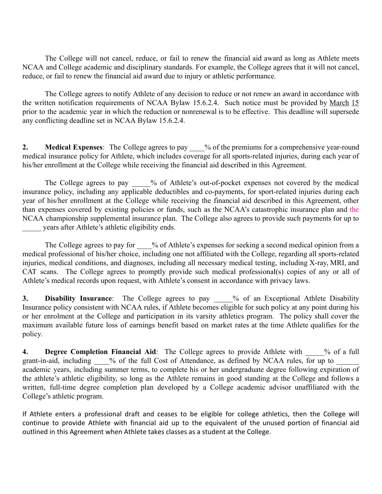The College will not cancel, reduce, or fail to renew the financial aid award as long as Athlete meets NCAA and College academic and disciplinary standards. For example, the College agrees that it will not cancel, reduce, or fail to renew the financial aid award due to injury or athletic performance.

The College agrees to notify Athlete of any decision to reduce or not renew an award in accordance with the written notification requirements of NCAA Bylaw 15.6.2.4. Such notice must be provided by March 15 prior to the academic year in which the reduction or nonrenewal is to be effective. This deadline will supersede any conflicting deadline set in NCAA Bylaw 15.6.2.4.

**2. Medical Expenses**: The College agrees to pay \_\_\_\_% of the premiums for a comprehensive year-round medical insurance policy for Athlete, which includes coverage for all sports-related injuries, during each year of his/her enrollment at the College while receiving the financial aid described in this Agreement.

The College agrees to pay  $\%$  of Athlete's out-of-pocket expenses not covered by the medical insurance policy, including any applicable deductibles and co-payments, for sport-related injuries during each year of his/her enrollment at the College while receiving the financial aid described in this Agreement, other than expenses covered by existing policies or funds, such as the NCAA's catastrophic insurance plan and the NCAA championship supplemental insurance plan. The College also agrees to provide such payments for up to \_\_\_\_\_ years after Athlete's athletic eligibility ends.

The College agrees to pay for  $\%$  of Athlete's expenses for seeking a second medical opinion from a medical professional of his/her choice, including one not affiliated with the College, regarding all sports-related injuries, medical conditions, and diagnoses, including all necessary medical testing, including X-ray, MRI, and CAT scans. The College agrees to promptly provide such medical professional(s) copies of any or all of Athlete's medical records upon request, with Athlete's consent in accordance with privacy laws.

**3. Disability Insurance**: The College agrees to pay \_\_\_\_% of an Exceptional Athlete Disability Insurance policy consistent with NCAA rules, if Athlete becomes eligible for such policy at any point during his or her enrolment at the College and participation in its varsity athletics program. The policy shall cover the maximum available future loss of earnings benefit based on market rates at the time Athlete qualifies for the policy.

**4. Degree Completion Financial Aid:** The College agrees to provide Athlete with  $\%$  of a full grant-in-aid, including  $\%$  of the full Cost of Attendance, as defined by NCAA rules, for up to academic years, including summer terms, to complete his or her undergraduate degree following expiration of the athlete's athletic eligibility, so long as the Athlete remains in good standing at the College and follows a written, full-time degree completion plan developed by a College academic advisor unaffiliated with the College's athletic program.

If Athlete enters a professional draft and ceases to be eligible for college athletics, then the College will continue to provide Athlete with financial aid up to the equivalent of the unused portion of financial aid outlined in this Agreement when Athlete takes classes as a student at the College.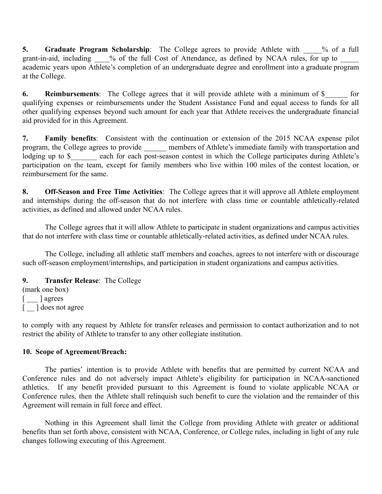**5. Graduate Program Scholarship**: The College agrees to provide Athlete with  $\%$  of a full grant-in-aid, including  $\frac{9}{6}$  of the full Cost of Attendance, as defined by NCAA rules, for up to academic years upon Athlete's completion of an undergraduate degree and enrollment into a graduate program at the College.

**6. Reimbursements**: The College agrees that it will provide athlete with a minimum of \$  $\qquad$  for qualifying expenses or reimbursements under the Student Assistance Fund and equal access to funds for all other qualifying expenses beyond such amount for each year that Athlete receives the undergraduate financial aid provided for in this Agreement.

**7. Family benefits**: Consistent with the continuation or extension of the 2015 NCAA expense pilot program, the College agrees to provide \_\_\_\_\_\_ members of Athlete's immediate family with transportation and lodging up to \$\_\_\_\_\_\_\_ each for each post-season contest in which the College participates during Athlete's participation on the team, except for family members who live within 100 miles of the contest location, or reimbursement for the same.

**8. Off-Season and Free Time Activities**: The College agrees that it will approve all Athlete employment and internships during the off-season that do not interfere with class time or countable athletically-related activities, as defined and allowed under NCAA rules.

The College agrees that it will allow Athlete to participate in student organizations and campus activities that do not interfere with class time or countable athletically-related activities, as defined under NCAA rules.

The College, including all athletic staff members and coaches, agrees to not interfere with or discourage such off-season employment/internships, and participation in student organizations and campus activities.

## **9. Transfer Release**: The College

(mark one box)  $\lceil \quad \rceil$  agrees [  $\Box$ ] does not agree

to comply with any request by Athlete for transfer releases and permission to contact authorization and to not restrict the ability of Athlete to transfer to any other collegiate institution.

#### **10. Scope of Agreement/Breach:**

The parties' intention is to provide Athlete with benefits that are permitted by current NCAA and Conference rules and do not adversely impact Athlete's eligibility for participation in NCAA-sanctioned athletics. If any benefit provided pursuant to this Agreement is found to violate applicable NCAA or Conference rules, then the Athlete shall relinquish such benefit to cure the violation and the remainder of this Agreement will remain in full force and effect.

Nothing in this Agreement shall limit the College from providing Athlete with greater or additional benefits than set forth above, consistent with NCAA, Conference, or College rules, including in light of any rule changes following executing of this Agreement.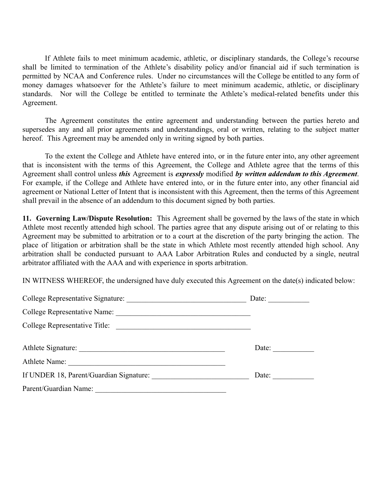If Athlete fails to meet minimum academic, athletic, or disciplinary standards, the College's recourse shall be limited to termination of the Athlete's disability policy and/or financial aid if such termination is permitted by NCAA and Conference rules. Under no circumstances will the College be entitled to any form of money damages whatsoever for the Athlete's failure to meet minimum academic, athletic, or disciplinary standards. Nor will the College be entitled to terminate the Athlete's medical-related benefits under this Agreement.

The Agreement constitutes the entire agreement and understanding between the parties hereto and supersedes any and all prior agreements and understandings, oral or written, relating to the subject matter hereof. This Agreement may be amended only in writing signed by both parties.

To the extent the College and Athlete have entered into, or in the future enter into, any other agreement that is inconsistent with the terms of this Agreement, the College and Athlete agree that the terms of this Agreement shall control unless *this* Agreement is *expressly* modified *by written addendum to this Agreement* . For example, if the College and Athlete have entered into, or in the future enter into, any other financial aid agreement or National Letter of Intent that is inconsistent with this Agreement, then the terms of this Agreement shall prevail in the absence of an addendum to this document signed by both parties.

**11. Governing Law/Dispute Resolution:** This Agreement shall be governed by the laws of the state in which Athlete most recently attended high school. The parties agree that any dispute arising out of or relating to this Agreement may be submitted to arbitration or to a court at the discretion of the party bringing the action. The place of litigation or arbitration shall be the state in which Athlete most recently attended high school. Any arbitration shall be conducted pursuant to AAA Labor Arbitration Rules and conducted by a single, neutral arbitrator affiliated with the AAA and with experience in sports arbitration.

IN WITNESS WHEREOF, the undersigned have duly executed this Agreement on the date(s) indicated below:

|                                         | Date: |  |  |
|-----------------------------------------|-------|--|--|
|                                         |       |  |  |
|                                         |       |  |  |
| Athlete Signature:                      | Date: |  |  |
| Athlete Name:                           |       |  |  |
| If UNDER 18, Parent/Guardian Signature: | Date: |  |  |
| Parent/Guardian Name:                   |       |  |  |